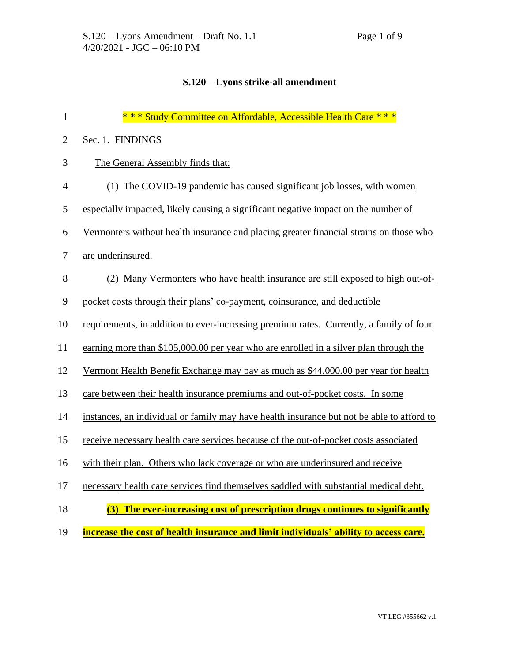## **S.120 – Lyons strike-all amendment**

| $\mathbf{1}$   | *** Study Committee on Affordable, Accessible Health Care ***                             |
|----------------|-------------------------------------------------------------------------------------------|
| $\mathbf{2}$   | Sec. 1. FINDINGS                                                                          |
| 3              | The General Assembly finds that:                                                          |
| $\overline{4}$ | (1) The COVID-19 pandemic has caused significant job losses, with women                   |
| 5              | especially impacted, likely causing a significant negative impact on the number of        |
| 6              | Vermonters without health insurance and placing greater financial strains on those who    |
| $\tau$         | are underinsured.                                                                         |
| $8\,$          | (2) Many Vermonters who have health insurance are still exposed to high out-of-           |
| 9              | pocket costs through their plans' co-payment, coinsurance, and deductible                 |
| 10             | requirements, in addition to ever-increasing premium rates. Currently, a family of four   |
| 11             | earning more than \$105,000.00 per year who are enrolled in a silver plan through the     |
| 12             | Vermont Health Benefit Exchange may pay as much as \$44,000.00 per year for health        |
| 13             | care between their health insurance premiums and out-of-pocket costs. In some             |
| 14             | instances, an individual or family may have health insurance but not be able to afford to |
| 15             | receive necessary health care services because of the out-of-pocket costs associated      |
| 16             | with their plan. Others who lack coverage or who are underinsured and receive             |
| 17             | necessary health care services find themselves saddled with substantial medical debt.     |
| 18             | The ever-increasing cost of prescription drugs continues to significantly<br>(3)          |
| 19             | increase the cost of health insurance and limit individuals' ability to access care.      |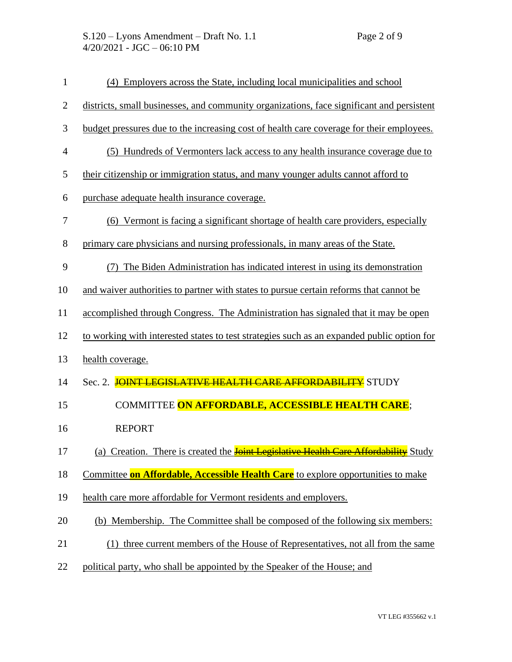| $\mathbf{1}$   | (4) Employers across the State, including local municipalities and school                   |
|----------------|---------------------------------------------------------------------------------------------|
| $\mathbf{2}$   | districts, small businesses, and community organizations, face significant and persistent   |
| 3              | budget pressures due to the increasing cost of health care coverage for their employees.    |
| $\overline{4}$ | (5) Hundreds of Vermonters lack access to any health insurance coverage due to              |
| 5              | their citizenship or immigration status, and many younger adults cannot afford to           |
| 6              | purchase adequate health insurance coverage.                                                |
| $\tau$         | (6) Vermont is facing a significant shortage of health care providers, especially           |
| 8              | primary care physicians and nursing professionals, in many areas of the State.              |
| 9              | The Biden Administration has indicated interest in using its demonstration<br>(7)           |
| 10             | and waiver authorities to partner with states to pursue certain reforms that cannot be      |
| 11             | accomplished through Congress. The Administration has signaled that it may be open          |
| 12             | to working with interested states to test strategies such as an expanded public option for  |
| 13             | health coverage.                                                                            |
| 14             | Sec. 2. JOINT LEGISLATIVE HEALTH CARE AFFORDABILITY STUDY                                   |
| 15             | COMMITTEE ON AFFORDABLE, ACCESSIBLE HEALTH CARE;                                            |
| 16             | <b>REPORT</b>                                                                               |
| 17             | (a) Creation. There is created the <b>Joint Legislative Health Care Affordability</b> Study |
| 18             | Committee on Affordable, Accessible Health Care to explore opportunities to make            |
| 19             | health care more affordable for Vermont residents and employers.                            |
| 20             | (b) Membership. The Committee shall be composed of the following six members:               |
| 21             | (1) three current members of the House of Representatives, not all from the same            |
| 22             | political party, who shall be appointed by the Speaker of the House; and                    |
|                |                                                                                             |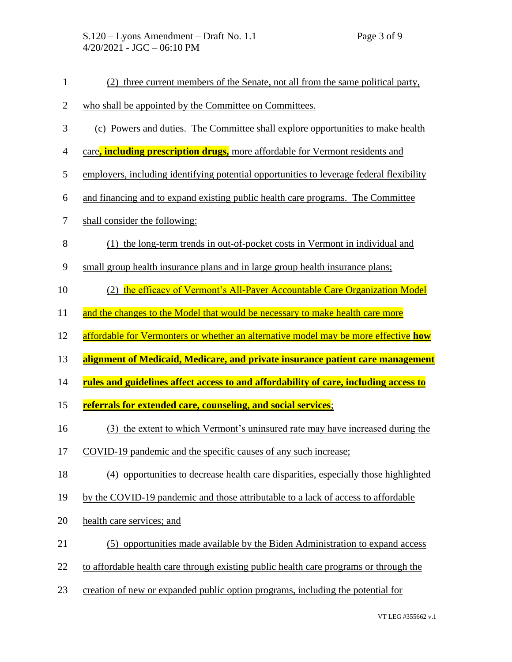| $\mathbf{1}$   | (2) three current members of the Senate, not all from the same political party,          |
|----------------|------------------------------------------------------------------------------------------|
| $\overline{c}$ | who shall be appointed by the Committee on Committees.                                   |
| 3              | (c) Powers and duties. The Committee shall explore opportunities to make health          |
| $\overline{4}$ | care, including prescription drugs, more affordable for Vermont residents and            |
| 5              | employers, including identifying potential opportunities to leverage federal flexibility |
| 6              | and financing and to expand existing public health care programs. The Committee          |
| $\tau$         | shall consider the following:                                                            |
| $8\,$          | (1) the long-term trends in out-of-pocket costs in Vermont in individual and             |
| 9              | small group health insurance plans and in large group health insurance plans;            |
| 10             | (2) the efficacy of Vermont's All-Payer Accountable Care Organization Model              |
| 11             | and the changes to the Model that would be necessary to make health care more            |
| 12             | affordable for Vermonters or whether an alternative model may be more effective how      |
|                |                                                                                          |
| 13             | alignment of Medicaid, Medicare, and private insurance patient care management           |
| 14             | rules and guidelines affect access to and affordability of care, including access to     |
| 15             | referrals for extended care, counseling, and social services;                            |
| 16             | (3) the extent to which Vermont's uninsured rate may have increased during the           |
| 17             | COVID-19 pandemic and the specific causes of any such increase;                          |
| 18             | (4) opportunities to decrease health care disparities, especially those highlighted      |
| 19             | by the COVID-19 pandemic and those attributable to a lack of access to affordable        |
| 20             | health care services; and                                                                |
| 21             | (5) opportunities made available by the Biden Administration to expand access            |
| 22             | to affordable health care through existing public health care programs or through the    |
| 23             | creation of new or expanded public option programs, including the potential for          |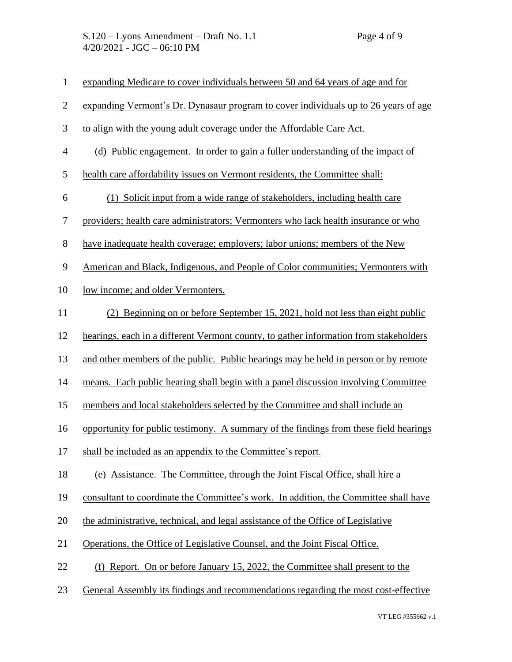| $\mathbf{1}$             | expanding Medicare to cover individuals between 50 and 64 years of age and for        |
|--------------------------|---------------------------------------------------------------------------------------|
| $\mathbf{2}$             | expanding Vermont's Dr. Dynasaur program to cover individuals up to 26 years of age   |
| 3                        | to align with the young adult coverage under the Affordable Care Act.                 |
| $\overline{\mathcal{A}}$ | (d) Public engagement. In order to gain a fuller understanding of the impact of       |
| 5                        | health care affordability issues on Vermont residents, the Committee shall:           |
| 6                        | (1) Solicit input from a wide range of stakeholders, including health care            |
| $\boldsymbol{7}$         | providers; health care administrators; Vermonters who lack health insurance or who    |
| $8\,$                    | have inadequate health coverage; employers; labor unions; members of the New          |
| $\mathbf{9}$             | American and Black, Indigenous, and People of Color communities; Vermonters with      |
| 10                       | low income; and older Vermonters.                                                     |
| 11                       | (2) Beginning on or before September 15, 2021, hold not less than eight public        |
| 12                       | hearings, each in a different Vermont county, to gather information from stakeholders |
| 13                       | and other members of the public. Public hearings may be held in person or by remote   |
| 14                       | means. Each public hearing shall begin with a panel discussion involving Committee    |
| 15                       | members and local stakeholders selected by the Committee and shall include an         |
| 16                       | opportunity for public testimony. A summary of the findings from these field hearings |
| 17                       | shall be included as an appendix to the Committee's report.                           |
| 18                       | (e) Assistance. The Committee, through the Joint Fiscal Office, shall hire a          |
| 19                       | consultant to coordinate the Committee's work. In addition, the Committee shall have  |
| 20                       | the administrative, technical, and legal assistance of the Office of Legislative      |
| 21                       | Operations, the Office of Legislative Counsel, and the Joint Fiscal Office.           |
| 22                       | (f) Report. On or before January 15, 2022, the Committee shall present to the         |
| 23                       | General Assembly its findings and recommendations regarding the most cost-effective   |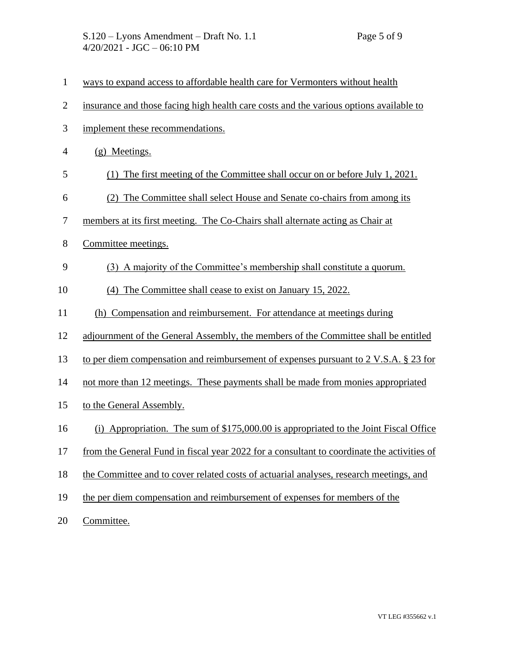- ways to expand access to affordable health care for Vermonters without health
- insurance and those facing high health care costs and the various options available to
- implement these recommendations.
- (g) Meetings.
- (1) The first meeting of the Committee shall occur on or before July 1, 2021.
- (2) The Committee shall select House and Senate co-chairs from among its
- members at its first meeting. The Co-Chairs shall alternate acting as Chair at
- Committee meetings.
- (3) A majority of the Committee's membership shall constitute a quorum.
- (4) The Committee shall cease to exist on January 15, 2022.
- (h) Compensation and reimbursement. For attendance at meetings during
- adjournment of the General Assembly, the members of the Committee shall be entitled
- to per diem compensation and reimbursement of expenses pursuant to 2 V.S.A. § 23 for
- not more than 12 meetings. These payments shall be made from monies appropriated
- to the General Assembly.
- (i) Appropriation. The sum of \$175,000.00 is appropriated to the Joint Fiscal Office
- from the General Fund in fiscal year 2022 for a consultant to coordinate the activities of
- the Committee and to cover related costs of actuarial analyses, research meetings, and
- the per diem compensation and reimbursement of expenses for members of the

Committee.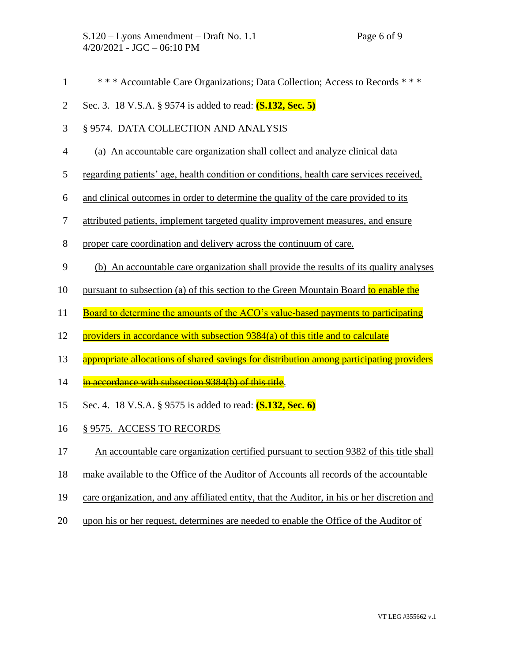- \* \* \* Accountable Care Organizations; Data Collection; Access to Records \* \* \*
- Sec. 3. 18 V.S.A. § 9574 is added to read: **(S.132, Sec. 5)**
- § 9574. DATA COLLECTION AND ANALYSIS
- (a) An accountable care organization shall collect and analyze clinical data
- regarding patients' age, health condition or conditions, health care services received,
- and clinical outcomes in order to determine the quality of the care provided to its
- attributed patients, implement targeted quality improvement measures, and ensure
- proper care coordination and delivery across the continuum of care.
- (b) An accountable care organization shall provide the results of its quality analyses
- 10 pursuant to subsection (a) of this section to the Green Mountain Board to enable the
- 11 Board to determine the amounts of the ACO's value-based payments to participating
- 12 providers in accordance with subsection 9384(a) of this title and to calculate
- 13 appropriate allocations of shared savings for distribution among participating providers
- 14 in accordance with subsection 9384(b) of this title.
- Sec. 4. 18 V.S.A. § 9575 is added to read: **(S.132, Sec. 6)**
- § 9575. ACCESS TO RECORDS
- An accountable care organization certified pursuant to section 9382 of this title shall
- make available to the Office of the Auditor of Accounts all records of the accountable
- care organization, and any affiliated entity, that the Auditor, in his or her discretion and
- upon his or her request, determines are needed to enable the Office of the Auditor of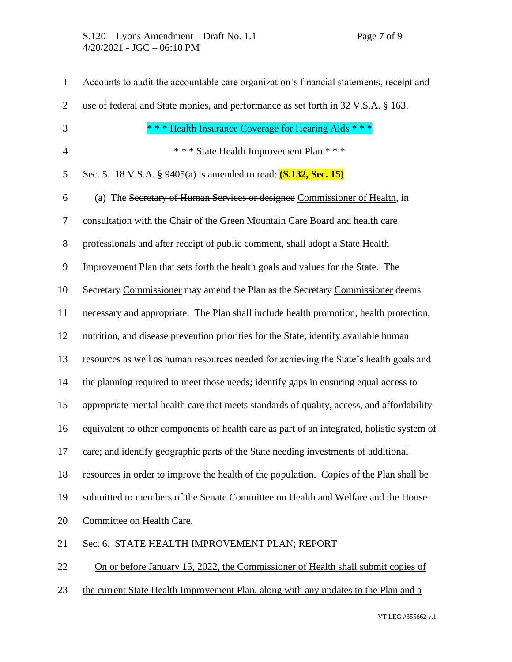| $\mathbf{1}$   | Accounts to audit the accountable care organization's financial statements, receipt and    |
|----------------|--------------------------------------------------------------------------------------------|
| $\overline{2}$ | use of federal and State monies, and performance as set forth in 32 V.S.A. § 163.          |
| 3              | *** Health Insurance Coverage for Hearing Aids ***                                         |
| $\overline{4}$ | *** State Health Improvement Plan ***                                                      |
| 5              | Sec. 5. 18 V.S.A. § 9405(a) is amended to read: (S.132, Sec. 15)                           |
| 6              | (a) The Secretary of Human Services or designee Commissioner of Health, in                 |
| $\overline{7}$ | consultation with the Chair of the Green Mountain Care Board and health care               |
| $8\,$          | professionals and after receipt of public comment, shall adopt a State Health              |
| 9              | Improvement Plan that sets forth the health goals and values for the State. The            |
| 10             | Secretary Commissioner may amend the Plan as the Secretary Commissioner deems              |
| 11             | necessary and appropriate. The Plan shall include health promotion, health protection,     |
| 12             | nutrition, and disease prevention priorities for the State; identify available human       |
| 13             | resources as well as human resources needed for achieving the State's health goals and     |
| 14             | the planning required to meet those needs; identify gaps in ensuring equal access to       |
| 15             | appropriate mental health care that meets standards of quality, access, and affordability  |
| 16             | equivalent to other components of health care as part of an integrated, holistic system of |
| 17             | care; and identify geographic parts of the State needing investments of additional         |
| 18             | resources in order to improve the health of the population. Copies of the Plan shall be    |
| 19             | submitted to members of the Senate Committee on Health and Welfare and the House           |
| 20             | Committee on Health Care.                                                                  |
| 21             | Sec. 6. STATE HEALTH IMPROVEMENT PLAN; REPORT                                              |
| 22             | On or before January 15, 2022, the Commissioner of Health shall submit copies of           |
| 23             | the current State Health Improvement Plan, along with any updates to the Plan and a        |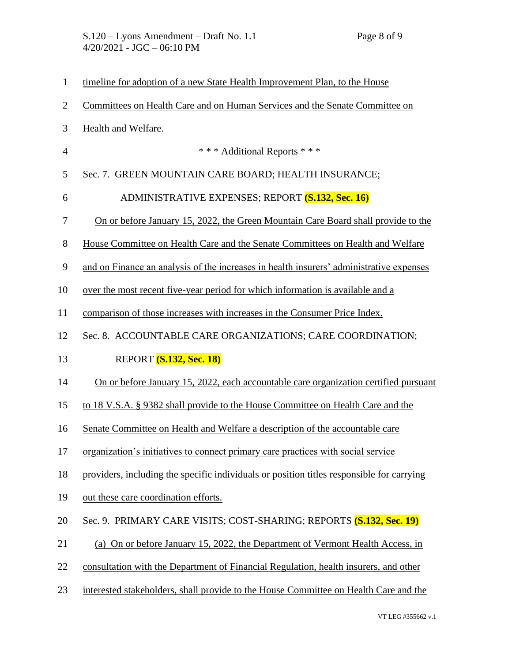| $\mathbf{1}$   | timeline for adoption of a new State Health Improvement Plan, to the House                |
|----------------|-------------------------------------------------------------------------------------------|
| $\overline{2}$ | Committees on Health Care and on Human Services and the Senate Committee on               |
| 3              | Health and Welfare.                                                                       |
| $\overline{4}$ | *** Additional Reports ***                                                                |
| 5              | Sec. 7. GREEN MOUNTAIN CARE BOARD; HEALTH INSURANCE;                                      |
| 6              | <b>ADMINISTRATIVE EXPENSES; REPORT (S.132, Sec. 16)</b>                                   |
| 7              | On or before January 15, 2022, the Green Mountain Care Board shall provide to the         |
| 8              | House Committee on Health Care and the Senate Committees on Health and Welfare            |
| 9              | and on Finance an analysis of the increases in health insurers' administrative expenses   |
| 10             | over the most recent five-year period for which information is available and a            |
| 11             | comparison of those increases with increases in the Consumer Price Index.                 |
| 12             | Sec. 8. ACCOUNTABLE CARE ORGANIZATIONS; CARE COORDINATION;                                |
|                |                                                                                           |
| 13             | <b>REPORT</b> (S.132, Sec. 18)                                                            |
| 14             | On or before January 15, 2022, each accountable care organization certified pursuant      |
| 15             | to 18 V.S.A. § 9382 shall provide to the House Committee on Health Care and the           |
| 16             | Senate Committee on Health and Welfare a description of the accountable care              |
|                | organization's initiatives to connect primary care practices with social service          |
| 18             | providers, including the specific individuals or position titles responsible for carrying |
| 19             | out these care coordination efforts.                                                      |
| 20             | Sec. 9. PRIMARY CARE VISITS; COST-SHARING; REPORTS (S.132, Sec. 19)                       |
| 21             | (a) On or before January 15, 2022, the Department of Vermont Health Access, in            |
| 17<br>22       | consultation with the Department of Financial Regulation, health insurers, and other      |
| 23             | interested stakeholders, shall provide to the House Committee on Health Care and the      |